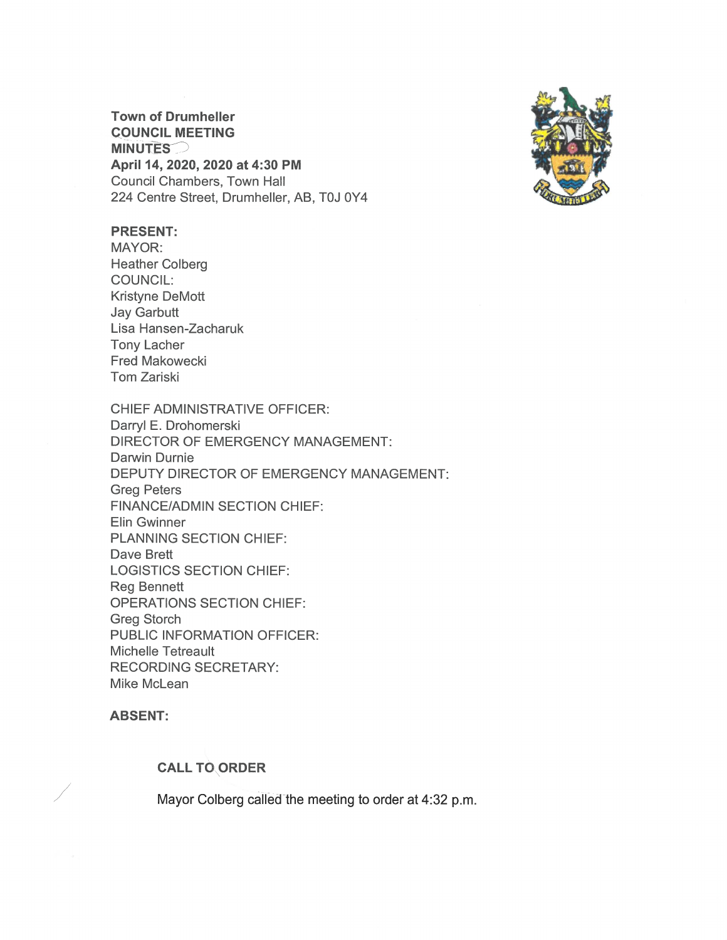**Town of Drumheller COUNCIL MEETING MINUTES** April 14, 2020, 2020 at 4:30 PM **Council Chambers, Town Hall** 224 Centre Street, Drumheller, AB, T0J 0Y4



## **PRESENT:**

MAYOR: **Heather Colberg COUNCIL: Kristyne DeMott Jay Garbutt** Lisa Hansen-Zacharuk **Tony Lacher Fred Makowecki** Tom Zariski

**CHIEF ADMINISTRATIVE OFFICER:** Darryl E. Drohomerski **DIRECTOR OF EMERGENCY MANAGEMENT:** Darwin Durnie DEPUTY DIRECTOR OF EMERGENCY MANAGEMENT: **Greg Peters FINANCE/ADMIN SECTION CHIEF:** Elin Gwinner PLANNING SECTION CHIEF: Dave Brett **LOGISTICS SECTION CHIEF: Reg Bennett OPERATIONS SECTION CHIEF: Greg Storch** PUBLIC INFORMATION OFFICER: Michelle Tetreault **RECORDING SECRETARY:** Mike McLean

**ABSENT:** 

#### **CALL TO ORDER**

Mayor Colberg called the meeting to order at 4:32 p.m.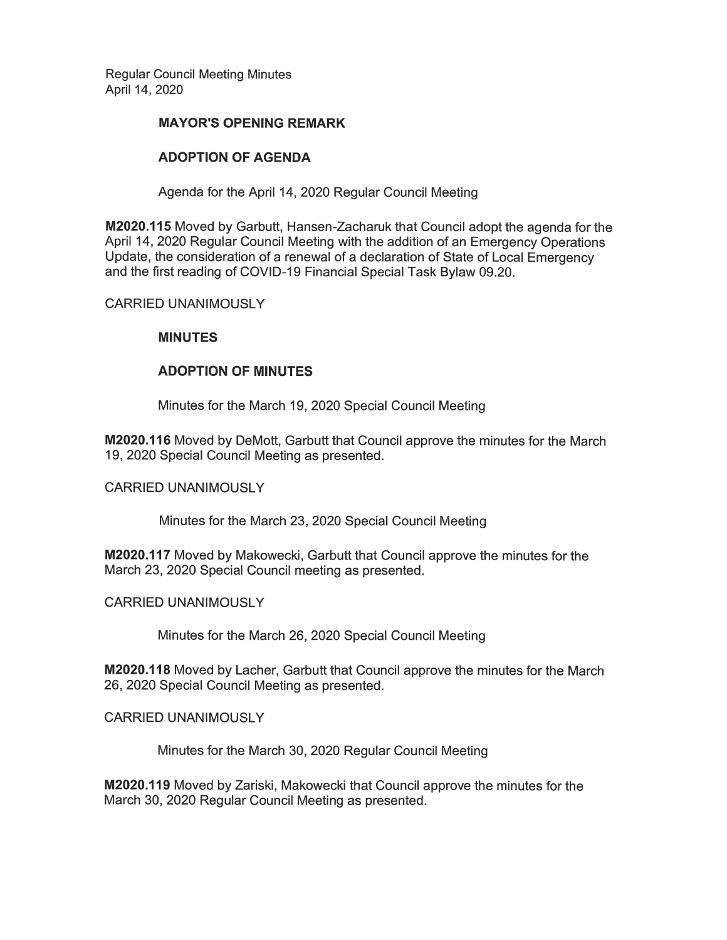**Regular Council Meeting Minutes** April 14, 2020

#### **MAYOR'S OPENING REMARK**

## **ADOPTION OF AGENDA**

Agenda for the April 14, 2020 Regular Council Meeting

M2020.115 Moved by Garbutt, Hansen-Zacharuk that Council adopt the agenda for the April 14, 2020 Regular Council Meeting with the addition of an Emergency Operations Update, the consideration of a renewal of a declaration of State of Local Emergency and the first reading of COVID-19 Financial Special Task Bylaw 09.20.

#### **CARRIED UNANIMOUSLY**

#### **MINUTES**

## **ADOPTION OF MINUTES**

Minutes for the March 19, 2020 Special Council Meeting

M2020.116 Moved by DeMott, Garbutt that Council approve the minutes for the March 19, 2020 Special Council Meeting as presented.

#### **CARRIED UNANIMOUSLY**

Minutes for the March 23, 2020 Special Council Meeting

M2020.117 Moved by Makowecki, Garbutt that Council approve the minutes for the March 23, 2020 Special Council meeting as presented.

#### **CARRIED UNANIMOUSLY**

Minutes for the March 26, 2020 Special Council Meeting

M2020.118 Moved by Lacher, Garbutt that Council approve the minutes for the March 26, 2020 Special Council Meeting as presented.

#### **CARRIED UNANIMOUSLY**

Minutes for the March 30, 2020 Regular Council Meeting

M2020.119 Moved by Zariski, Makowecki that Council approve the minutes for the March 30, 2020 Regular Council Meeting as presented.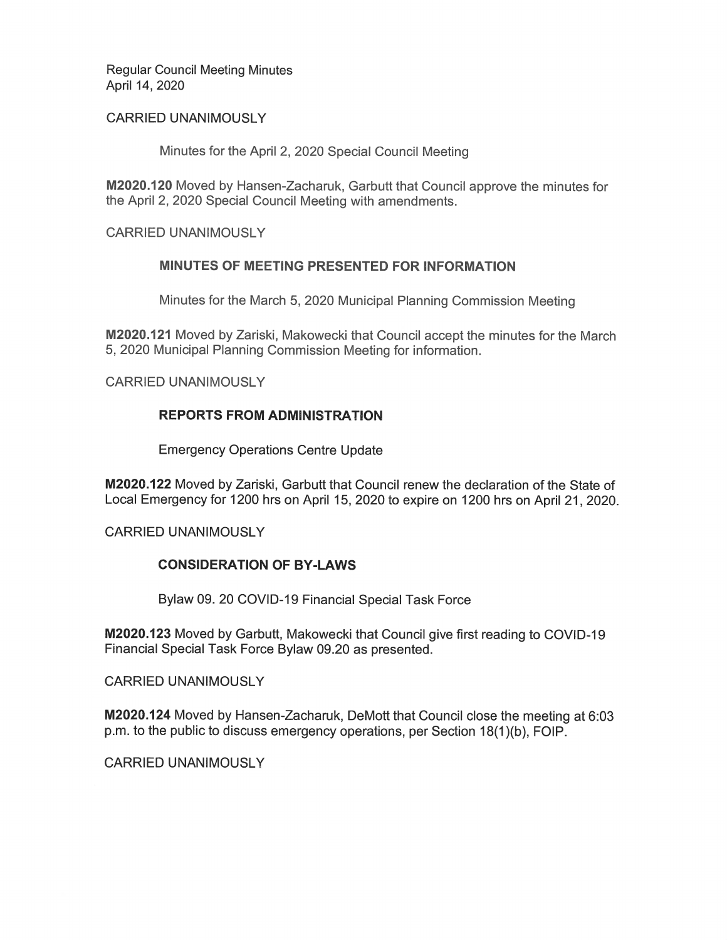**Regular Council Meeting Minutes** April 14, 2020

### **CARRIED UNANIMOUSLY**

Minutes for the April 2, 2020 Special Council Meeting

M2020.120 Moved by Hansen-Zacharuk, Garbutt that Council approve the minutes for the April 2, 2020 Special Council Meeting with amendments.

**CARRIED UNANIMOUSLY** 

## MINUTES OF MEETING PRESENTED FOR INFORMATION

Minutes for the March 5, 2020 Municipal Planning Commission Meeting

M2020.121 Moved by Zariski, Makowecki that Council accept the minutes for the March 5, 2020 Municipal Planning Commission Meeting for information.

**CARRIED UNANIMOUSLY** 

# **REPORTS FROM ADMINISTRATION**

**Emergency Operations Centre Update** 

M2020.122 Moved by Zariski, Garbutt that Council renew the declaration of the State of Local Emergency for 1200 hrs on April 15, 2020 to expire on 1200 hrs on April 21, 2020.

**CARRIED UNANIMOUSLY** 

## **CONSIDERATION OF BY-LAWS**

Bylaw 09. 20 COVID-19 Financial Special Task Force

M2020.123 Moved by Garbutt, Makowecki that Council give first reading to COVID-19 Financial Special Task Force Bylaw 09.20 as presented.

**CARRIED UNANIMOUSLY** 

M2020.124 Moved by Hansen-Zacharuk, DeMott that Council close the meeting at 6:03 p.m. to the public to discuss emergency operations, per Section 18(1)(b), FOIP.

**CARRIED UNANIMOUSLY**